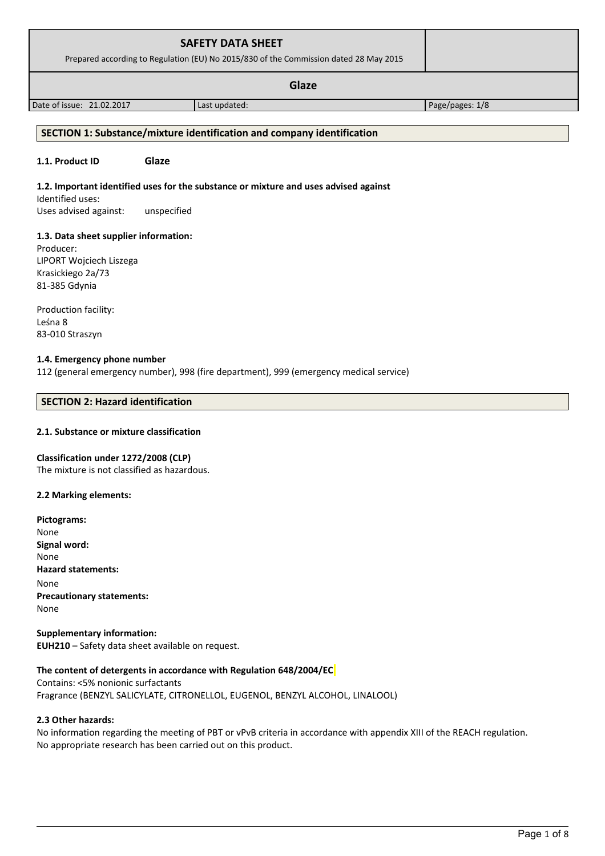|                                       | <b>SAFETY DATA SHEET</b><br>Prepared according to Regulation (EU) No 2015/830 of the Commission dated 28 May 2015 |                 |
|---------------------------------------|-------------------------------------------------------------------------------------------------------------------|-----------------|
|                                       |                                                                                                                   |                 |
|                                       | Glaze                                                                                                             |                 |
| Date of issue: 21.02.2017             | Last updated:                                                                                                     | Page/pages: 1/8 |
|                                       |                                                                                                                   |                 |
|                                       | SECTION 1: Substance/mixture identification and company identification                                            |                 |
|                                       |                                                                                                                   |                 |
| 1.1. Product ID                       | Glaze                                                                                                             |                 |
|                                       | 1.2. Important identified uses for the substance or mixture and uses advised against                              |                 |
|                                       |                                                                                                                   |                 |
| Identified uses:                      |                                                                                                                   |                 |
| Uses advised against:                 | unspecified                                                                                                       |                 |
|                                       |                                                                                                                   |                 |
| 1.3. Data sheet supplier information: |                                                                                                                   |                 |
| Producer:                             |                                                                                                                   |                 |
| LIPORT Wojciech Liszega               |                                                                                                                   |                 |
| Krasickiego 2a/73                     |                                                                                                                   |                 |
| 81-385 Gdynia                         |                                                                                                                   |                 |

Leśna 8 83-010 Straszyn

### **1.4. Emergency phone number**

112 (general emergency number), 998 (fire department), 999 (emergency medical service)

### **SECTION 2: Hazard identification**

### **2.1. Substance or mixture classification**

### **Classification under 1272/2008 (CLP)**

The mixture is not classified as hazardous.

### **2.2 Marking elements:**

**Pictograms:** None **Signal word:**  None **Hazard statements:** None **Precautionary statements:** None

**Supplementary information: EUH210** – Safety data sheet available on request.

#### **The content of detergents in accordance with Regulation 648/2004/EC**

Contains: <5% nonionic surfactants Fragrance (BENZYL SALICYLATE, CITRONELLOL, EUGENOL, BENZYL ALCOHOL, LINALOOL)

### **2.3 Other hazards:**

No information regarding the meeting of PBT or vPvB criteria in accordance with appendix XIII of the REACH regulation. No appropriate research has been carried out on this product.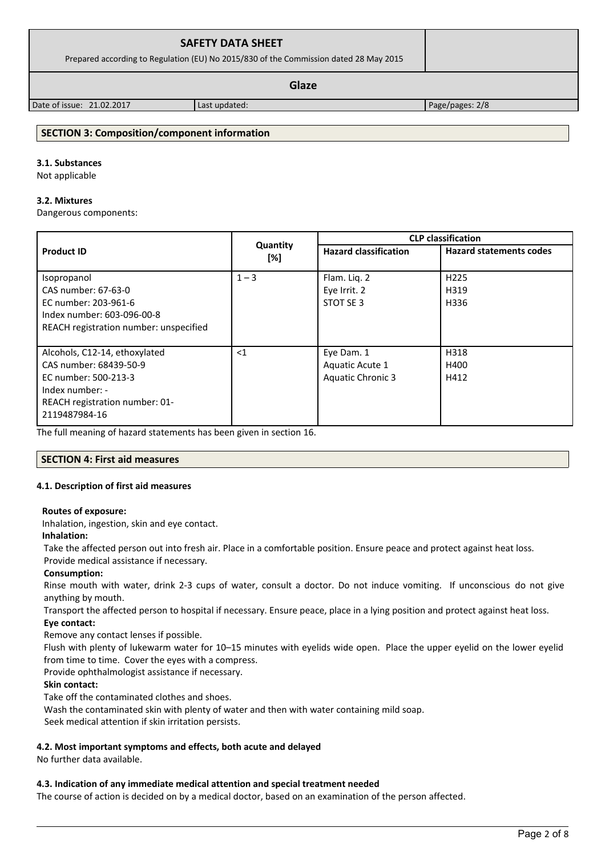| <b>SAFETY DATA SHEET</b><br>Prepared according to Regulation (EU) No 2015/830 of the Commission dated 28 May 2015 |               |                 |
|-------------------------------------------------------------------------------------------------------------------|---------------|-----------------|
|                                                                                                                   |               |                 |
| Date of issue: 21.02.2017                                                                                         | Last updated: | Page/pages: 2/8 |

### **SECTION 3: Composition/component information**

# **3.1. Substances**

Not applicable

#### **3.2. Mixtures**

Dangerous components:

|                                                         |                 | <b>CLP</b> classification                                      |                  |  |
|---------------------------------------------------------|-----------------|----------------------------------------------------------------|------------------|--|
| <b>Product ID</b>                                       | Quantity<br>[%] | <b>Hazard statements codes</b><br><b>Hazard classification</b> |                  |  |
| Isopropanol                                             | $1 - 3$         | Flam. Lig. 2                                                   | H <sub>225</sub> |  |
| CAS number: 67-63-0                                     |                 | Eye Irrit. 2                                                   | H319             |  |
| EC number: 203-961-6                                    |                 | STOT SE 3                                                      | H336             |  |
| Index number: 603-096-00-8                              |                 |                                                                |                  |  |
| REACH registration number: unspecified                  |                 |                                                                |                  |  |
| Alcohols, C12-14, ethoxylated<br>CAS number: 68439-50-9 | $<$ 1           | Eye Dam. 1<br>Aquatic Acute 1                                  | H318<br>H400     |  |
| EC number: 500-213-3                                    |                 | Aquatic Chronic 3                                              | H412             |  |
| Index number: -<br>REACH registration number: 01-       |                 |                                                                |                  |  |
| 2119487984-16                                           |                 |                                                                |                  |  |

The full meaning of hazard statements has been given in section 16.

### **SECTION 4: First aid measures**

#### **4.1. Description of first aid measures**

#### **Routes of exposure:**

Inhalation, ingestion, skin and eye contact.

#### **Inhalation:**

Take the affected person out into fresh air. Place in a comfortable position. Ensure peace and protect against heat loss.

# Provide medical assistance if necessary.

# **Consumption:**

Rinse mouth with water, drink 2-3 cups of water, consult a doctor. Do not induce vomiting. If unconscious do not give anything by mouth.

Transport the affected person to hospital if necessary. Ensure peace, place in a lying position and protect against heat loss. **Eye contact:**

Remove any contact lenses if possible.

Flush with plenty of lukewarm water for 10–15 minutes with eyelids wide open. Place the upper eyelid on the lower eyelid from time to time. Cover the eyes with a compress.

Provide ophthalmologist assistance if necessary.

### **Skin contact:**

Take off the contaminated clothes and shoes.

Wash the contaminated skin with plenty of water and then with water containing mild soap.

Seek medical attention if skin irritation persists.

### **4.2. Most important symptoms and effects, both acute and delayed**

No further data available.

### **4.3. Indication of any immediate medical attention and special treatment needed**

The course of action is decided on by a medical doctor, based on an examination of the person affected.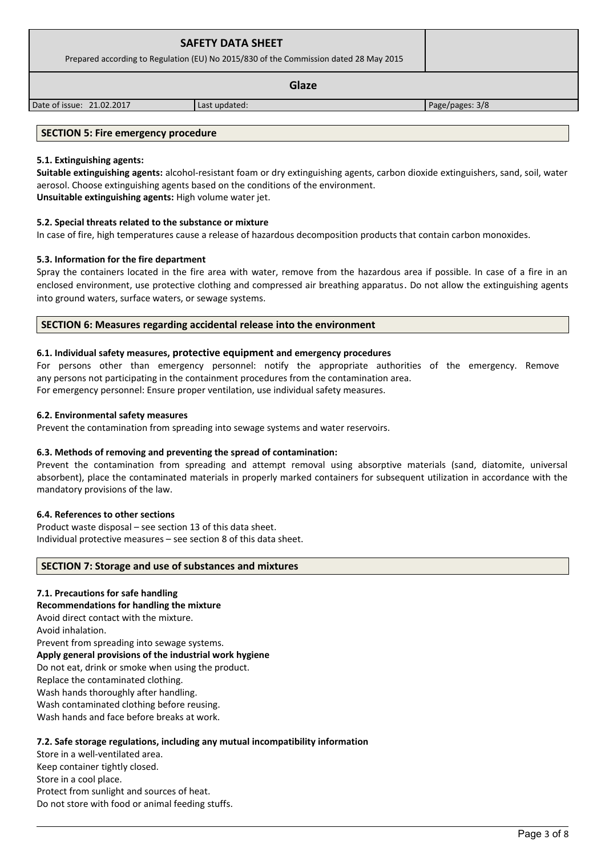| <b>SAFETY DATA SHEET</b><br>Prepared according to Regulation (EU) No 2015/830 of the Commission dated 28 May 2015 |               |  |  |  |
|-------------------------------------------------------------------------------------------------------------------|---------------|--|--|--|
|                                                                                                                   |               |  |  |  |
| Date of issue: 21.02.2017                                                                                         | Last updated: |  |  |  |
|                                                                                                                   |               |  |  |  |

### **SECTION 5: Fire emergency procedure**

### **5.1. Extinguishing agents:**

**Suitable extinguishing agents:** alcohol-resistant foam or dry extinguishing agents, carbon dioxide extinguishers, sand, soil, water aerosol. Choose extinguishing agents based on the conditions of the environment. **Unsuitable extinguishing agents:** High volume water jet.

### **5.2. Special threats related to the substance or mixture**

In case of fire, high temperatures cause a release of hazardous decomposition products that contain carbon monoxides.

### **5.3. Information for the fire department**

Spray the containers located in the fire area with water, remove from the hazardous area if possible. In case of a fire in an enclosed environment, use protective clothing and compressed air breathing apparatus. Do not allow the extinguishing agents into ground waters, surface waters, or sewage systems.

### **SECTION 6: Measures regarding accidental release into the environment**

### **6.1. Individual safety measures, protective equipment and emergency procedures**

For persons other than emergency personnel: notify the appropriate authorities of the emergency. Remove any persons not participating in the containment procedures from the contamination area.

For emergency personnel: Ensure proper ventilation, use individual safety measures.

### **6.2. Environmental safety measures**

Prevent the contamination from spreading into sewage systems and water reservoirs.

### **6.3. Methods of removing and preventing the spread of contamination:**

Prevent the contamination from spreading and attempt removal using absorptive materials (sand, diatomite, universal absorbent), place the contaminated materials in properly marked containers for subsequent utilization in accordance with the mandatory provisions of the law.

#### **6.4. References to other sections**

Product waste disposal – see section 13 of this data sheet. Individual protective measures – see section 8 of this data sheet.

### **SECTION 7: Storage and use of substances and mixtures**

### **7.1. Precautions for safe handling**

**Recommendations for handling the mixture** 

Avoid direct contact with the mixture.

Avoid inhalation.

Prevent from spreading into sewage systems. **Apply general provisions of the industrial work hygiene** 

Do not eat, drink or smoke when using the product.

Replace the contaminated clothing.

Wash hands thoroughly after handling.

Wash contaminated clothing before reusing.

Wash hands and face before breaks at work.

### **7.2. Safe storage regulations, including any mutual incompatibility information**

Store in a well-ventilated area. Keep container tightly closed. Store in a cool place. Protect from sunlight and sources of heat. Do not store with food or animal feeding stuffs.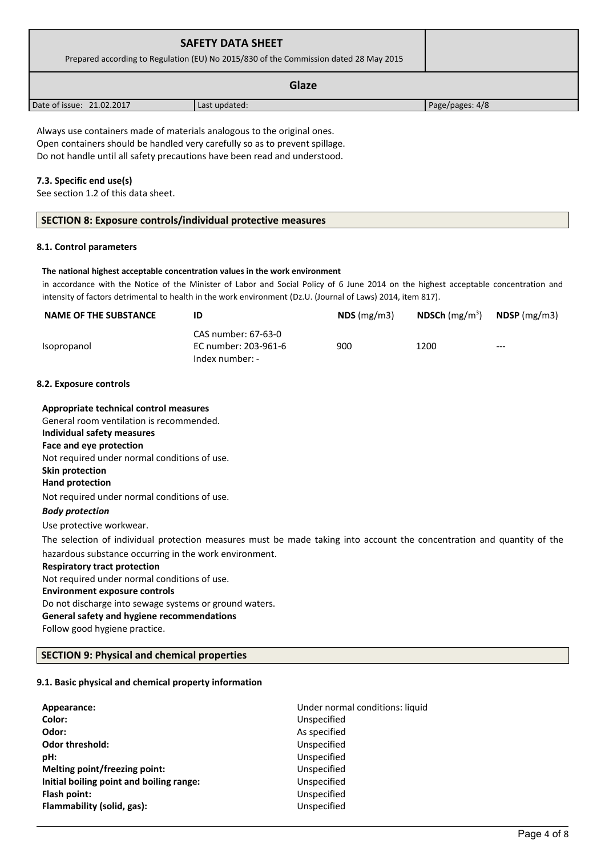| <b>SAFETY DATA SHEET</b><br>Prepared according to Regulation (EU) No 2015/830 of the Commission dated 28 May 2015 |                                                                                                                                                        |                 |  |  |  |
|-------------------------------------------------------------------------------------------------------------------|--------------------------------------------------------------------------------------------------------------------------------------------------------|-----------------|--|--|--|
| Glaze                                                                                                             |                                                                                                                                                        |                 |  |  |  |
| Date of issue: 21.02.2017                                                                                         | Last updated:                                                                                                                                          | Page/pages: 4/8 |  |  |  |
|                                                                                                                   | Always use containers made of materials analogous to the original ones.<br>Open containers should be handled very carefully so as to prevent spillage. |                 |  |  |  |
| 7.3. Specific end use(s)<br>See section 1.2 of this data sheet.                                                   | Do not handle until all safety precautions have been read and understood.                                                                              |                 |  |  |  |

#### **The national highest acceptable concentration values in the work environment**

in accordance with the Notice of the Minister of Labor and Social Policy of 6 June 2014 on the highest acceptable concentration and intensity of factors detrimental to health in the work environment (Dz.U. (Journal of Laws) 2014, item 817).

| <b>NAME OF THE SUBSTANCE</b> | ID                                                             | NDS(mg/m3) | <b>NDSCh</b> (mg/m <sup>3</sup> ) | <b>NDSP</b> (mg/m3) |
|------------------------------|----------------------------------------------------------------|------------|-----------------------------------|---------------------|
| Isopropanol                  | CAS number: 67-63-0<br>EC number: 203-961-6<br>Index number: - | 900        | 1200                              | $---$               |

# **8.2. Exposure controls**

| Appropriate technical control measures                                                                                 |
|------------------------------------------------------------------------------------------------------------------------|
| General room ventilation is recommended.                                                                               |
| Individual safety measures                                                                                             |
| Face and eye protection                                                                                                |
| Not required under normal conditions of use.                                                                           |
| Skin protection                                                                                                        |
| Hand protection                                                                                                        |
| Not required under normal conditions of use.                                                                           |
| <b>Body protection</b>                                                                                                 |
| Use protective workwear.                                                                                               |
| The selection of individual protection measures must be made taking into account the concentration and quantity of the |
| hazardous substance occurring in the work environment.                                                                 |
| <b>Respiratory tract protection</b>                                                                                    |
| Not required under normal conditions of use.                                                                           |
| <b>Environment exposure controls</b>                                                                                   |
| Do not discharge into sewage systems or ground waters.                                                                 |
| General safety and hygiene recommendations                                                                             |
| Follow good hygiene practice.                                                                                          |

# **SECTION 9: Physical and chemical properties**

# **9.1. Basic physical and chemical property information**

| Appearance:                              | Under normal conditions: liquid |
|------------------------------------------|---------------------------------|
| Color:                                   | Unspecified                     |
| Odor:                                    | As specified                    |
| <b>Odor threshold:</b>                   | Unspecified                     |
| pH:                                      | Unspecified                     |
| Melting point/freezing point:            | Unspecified                     |
| Initial boiling point and boiling range: | Unspecified                     |
| Flash point:                             | Unspecified                     |
| Flammability (solid, gas):               | Unspecified                     |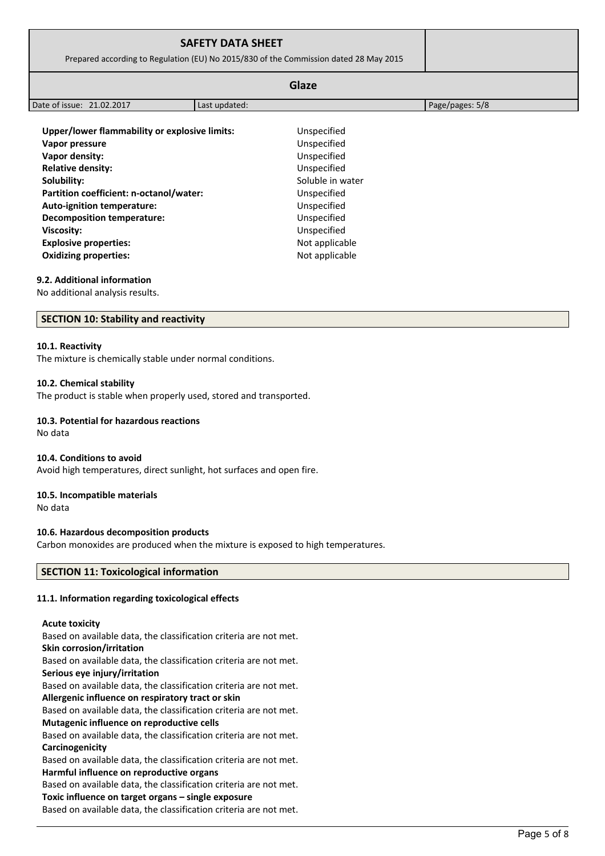| Prepared according to Regulation (EU) No 2015/830 of the Commission dated 28 May 2015                                                                                                    |               |                                                                                              |                 |
|------------------------------------------------------------------------------------------------------------------------------------------------------------------------------------------|---------------|----------------------------------------------------------------------------------------------|-----------------|
|                                                                                                                                                                                          |               | Glaze                                                                                        |                 |
| Date of issue: 21.02.2017                                                                                                                                                                | Last updated: |                                                                                              | Page/pages: 5/8 |
| Upper/lower flammability or explosive limits:<br>Vapor pressure<br>Vapor density:<br><b>Relative density:</b><br>Solubility:                                                             |               | Unspecified<br>Unspecified<br>Unspecified<br>Unspecified<br>Soluble in water                 |                 |
| Partition coefficient: n-octanol/water:<br>Auto-ignition temperature:<br>Decomposition temperature:<br><b>Viscosity:</b><br><b>Explosive properties:</b><br><b>Oxidizing properties:</b> |               | Unspecified<br>Unspecified<br>Unspecified<br>Unspecified<br>Not applicable<br>Not applicable |                 |

#### **9.2. Additional information**

No additional analysis results.

### **SECTION 10: Stability and reactivity**

#### **10.1. Reactivity**

The mixture is chemically stable under normal conditions.

#### **10.2. Chemical stability**

The product is stable when properly used, stored and transported.

### **10.3. Potential for hazardous reactions**

No data

#### **10.4. Conditions to avoid**

Avoid high temperatures, direct sunlight, hot surfaces and open fire.

#### **10.5. Incompatible materials**

No data

### **10.6. Hazardous decomposition products**

Carbon monoxides are produced when the mixture is exposed to high temperatures.

### **SECTION 11: Toxicological information**

### **11.1. Information regarding toxicological effects**

### **Acute toxicity**

Based on available data, the classification criteria are not met. **Skin corrosion/irritation** Based on available data, the classification criteria are not met. **Serious eye injury/irritation** Based on available data, the classification criteria are not met. **Allergenic influence on respiratory tract or skin** Based on available data, the classification criteria are not met. **Mutagenic influence on reproductive cells** Based on available data, the classification criteria are not met. **Carcinogenicity** Based on available data, the classification criteria are not met. **Harmful influence on reproductive organs** Based on available data, the classification criteria are not met. **Toxic influence on target organs – single exposure**

Based on available data, the classification criteria are not met.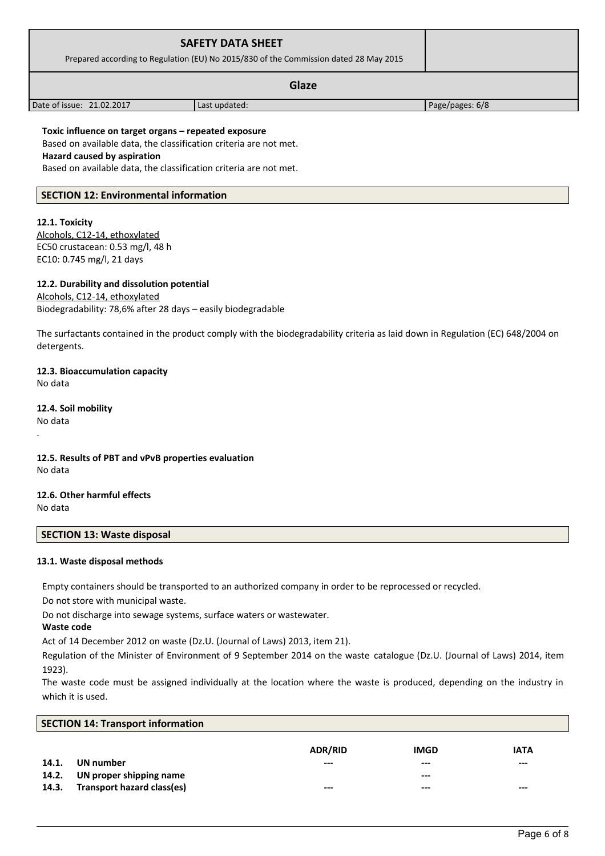| <b>SAFETY DATA SHEET</b><br>Prepared according to Regulation (EU) No 2015/830 of the Commission dated 28 May 2015                                              |                                                                                                                                        |                                                                                                                                |  |  |  |  |
|----------------------------------------------------------------------------------------------------------------------------------------------------------------|----------------------------------------------------------------------------------------------------------------------------------------|--------------------------------------------------------------------------------------------------------------------------------|--|--|--|--|
| <b>Glaze</b>                                                                                                                                                   |                                                                                                                                        |                                                                                                                                |  |  |  |  |
| Date of issue: 21.02.2017                                                                                                                                      | Last updated:                                                                                                                          | Page/pages: 6/8                                                                                                                |  |  |  |  |
| Toxic influence on target organs - repeated exposure<br><b>Hazard caused by aspiration</b>                                                                     | Based on available data, the classification criteria are not met.<br>Based on available data, the classification criteria are not met. |                                                                                                                                |  |  |  |  |
| <b>SECTION 12: Environmental information</b>                                                                                                                   |                                                                                                                                        |                                                                                                                                |  |  |  |  |
| 12.1. Toxicity<br>Alcohols, C12-14, ethoxylated<br>EC50 crustacean: 0.53 mg/l, 48 h<br>EC10: 0.745 mg/l, 21 days<br>12.2. Durability and dissolution potential |                                                                                                                                        |                                                                                                                                |  |  |  |  |
| Alcohols, C12-14, ethoxylated<br>Biodegradability: 78,6% after 28 days - easily biodegradable                                                                  |                                                                                                                                        | The surfactants contained in the product comply with the biodegradability criteria as laid down in Regulation (EC) 648/2004 on |  |  |  |  |
| detergents.                                                                                                                                                    |                                                                                                                                        |                                                                                                                                |  |  |  |  |
| 12.3. Bioaccumulation capacity<br>No data                                                                                                                      |                                                                                                                                        |                                                                                                                                |  |  |  |  |
| 12.4. Soil mobility<br>No data                                                                                                                                 |                                                                                                                                        |                                                                                                                                |  |  |  |  |
| 12.5. Results of PBT and vPvB properties evaluation<br>No data                                                                                                 |                                                                                                                                        |                                                                                                                                |  |  |  |  |
| 12.6. Other harmful effects<br>No data                                                                                                                         |                                                                                                                                        |                                                                                                                                |  |  |  |  |
| <b>SECTION 13: Waste disposal</b>                                                                                                                              |                                                                                                                                        |                                                                                                                                |  |  |  |  |
| 13.1. Waste disposal methods                                                                                                                                   |                                                                                                                                        |                                                                                                                                |  |  |  |  |
| Do not store with municipal waste.                                                                                                                             | Empty containers should be transported to an authorized company in order to be reprocessed or recycled.                                |                                                                                                                                |  |  |  |  |
| Waste code                                                                                                                                                     | Do not discharge into sewage systems, surface waters or wastewater.                                                                    |                                                                                                                                |  |  |  |  |
|                                                                                                                                                                | Act of 14 December 2012 on waste (Dz.U. (Journal of Laws) 2013, item 21).                                                              | Regulation of the Minister of Environment of 9 September 2014 on the waste catalogue (Dz.U. (Journal of Laws) 2014, item       |  |  |  |  |
| 1923).                                                                                                                                                         |                                                                                                                                        |                                                                                                                                |  |  |  |  |
|                                                                                                                                                                |                                                                                                                                        | The waste code must be assigned individually at the location where the waste is produced depending on the industry in          |  |  |  |  |

The waste code must be assigned individually at the location where the waste is produced, depending on the industry in which it is used.

| <b>SECTION 14: Transport information</b> |                                      |                    |                                 |                        |
|------------------------------------------|--------------------------------------|--------------------|---------------------------------|------------------------|
| 14.1.<br>14.2.                           | UN number<br>UN proper shipping name | ADR/RID<br>$- - -$ | <b>IMGD</b><br>$---$<br>$- - -$ | <b>IATA</b><br>$- - -$ |
| 14.3.                                    | Transport hazard class(es)           | $--$               | $--$                            | $---$                  |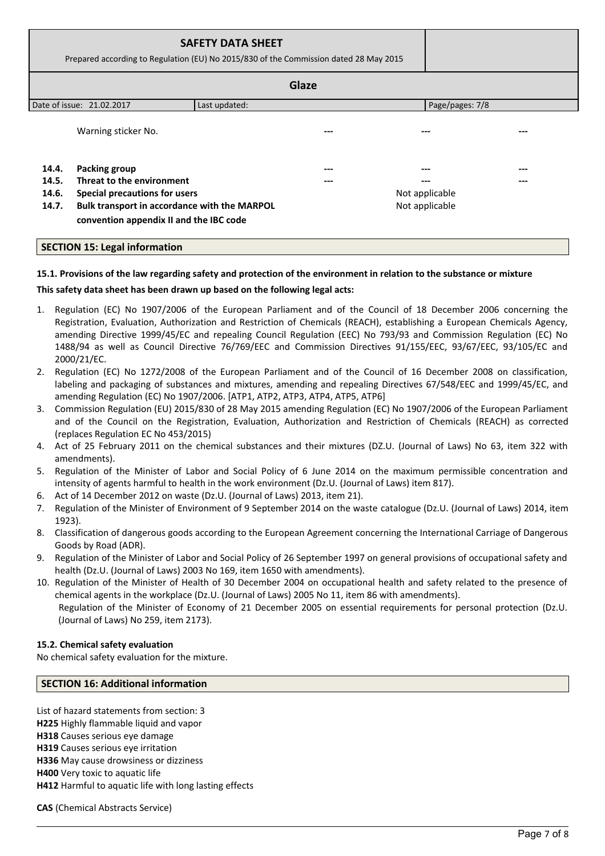|       | <b>SAFETY DATA SHEET</b><br>Prepared according to Regulation (EU) No 2015/830 of the Commission dated 28 May 2015 |               |     |                 |  |  |
|-------|-------------------------------------------------------------------------------------------------------------------|---------------|-----|-----------------|--|--|
|       | Glaze                                                                                                             |               |     |                 |  |  |
|       | Date of issue: 21.02.2017                                                                                         | Last updated: |     | Page/pages: 7/8 |  |  |
|       | Warning sticker No.                                                                                               |               |     |                 |  |  |
| 14.4. | Packing group                                                                                                     |               | --- |                 |  |  |
| 14.5. | Threat to the environment                                                                                         |               |     |                 |  |  |
| 14.6. | <b>Special precautions for users</b><br>Not applicable                                                            |               |     |                 |  |  |
| 14.7. | Bulk transport in accordance with the MARPOL<br>Not applicable<br>convention appendix II and the IBC code         |               |     |                 |  |  |

### **SECTION 15: Legal information**

# **15.1. Provisions of the law regarding safety and protection of the environment in relation to the substance or mixture**

### **This safety data sheet has been drawn up based on the following legal acts:**

- 1. Regulation (EC) No 1907/2006 of the European Parliament and of the Council of 18 December 2006 concerning the Registration, Evaluation, Authorization and Restriction of Chemicals (REACH), establishing a European Chemicals Agency, amending Directive 1999/45/EC and repealing Council Regulation (EEC) No 793/93 and Commission Regulation (EC) No 1488/94 as well as Council Directive 76/769/EEC and Commission Directives 91/155/EEC, 93/67/EEC, 93/105/EC and 2000/21/EC.
- 2. Regulation (EC) No 1272/2008 of the European Parliament and of the Council of 16 December 2008 on classification, labeling and packaging of substances and mixtures, amending and repealing Directives 67/548/EEC and 1999/45/EC, and amending Regulation (EC) No 1907/2006. [ATP1, ATP2, ATP3, ATP4, ATP5, ATP6]
- 3. Commission Regulation (EU) 2015/830 of 28 May 2015 amending Regulation (EC) No 1907/2006 of the European Parliament and of the Council on the Registration, Evaluation, Authorization and Restriction of Chemicals (REACH) as corrected (replaces Regulation EC No 453/2015)
- 4. Act of 25 February 2011 on the chemical substances and their mixtures (DZ.U. (Journal of Laws) No 63, item 322 with amendments).
- 5. Regulation of the Minister of Labor and Social Policy of 6 June 2014 on the maximum permissible concentration and intensity of agents harmful to health in the work environment (Dz.U. (Journal of Laws) item 817).
- 6. Act of 14 December 2012 on waste (Dz.U. (Journal of Laws) 2013, item 21).
- 7. Regulation of the Minister of Environment of 9 September 2014 on the waste catalogue (Dz.U. (Journal of Laws) 2014, item 1923).
- 8. Classification of dangerous goods according to the European Agreement concerning the International Carriage of Dangerous Goods by Road (ADR).
- 9. Regulation of the Minister of Labor and Social Policy of 26 September 1997 on general provisions of occupational safety and health (Dz.U. (Journal of Laws) 2003 No 169, item 1650 with amendments).
- 10. Regulation of the Minister of Health of 30 December 2004 on occupational health and safety related to the presence of chemical agents in the workplace (Dz.U. (Journal of Laws) 2005 No 11, item 86 with amendments). Regulation of the Minister of Economy of 21 December 2005 on essential requirements for personal protection (Dz.U. (Journal of Laws) No 259, item 2173).

### **15.2. Chemical safety evaluation**

No chemical safety evaluation for the mixture.

### **SECTION 16: Additional information**

List of hazard statements from section: 3 **H225** Highly flammable liquid and vapor **H318** Causes serious eye damage **H319** Causes serious eye irritation **H336** May cause drowsiness or dizziness **H400** Very toxic to aquatic life **H412** Harmful to aquatic life with long lasting effects

**CAS** (Chemical Abstracts Service)